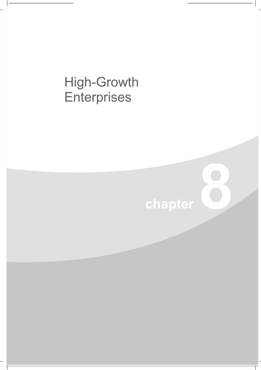## High-Growth **Enterprises**

# **chapter**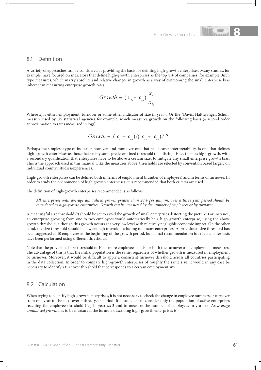

### 8.1 Definition

A variety of approaches can be considered as providing the basis for defining high-growth enterprises. Many studies, for example, have focused on indicators that define high-growth enterprises as the top Y% of companies, for example Birch type measures, which marry absolute and relative changes in growth as a way of overcoming the small enterprise bias inherent in measuring enterprise growth rates.

$$
Growth = (x_{t_1} - x_{t_0}) \frac{x_{t_1}}{x_{t_0}}
$$

Where  $x_t$  is either employment, turnover or some other indicator of size in year t. Or the "Davis, Haltiwanger, Schuh' measure used by US statistical agencies for example, which measures growth on the following basis (a second order approximation to rates measured in logs):

$$
Growth = (x_{t_1} - x_{t_0}) / (x_{t_1} + x_{t_0}) / 2
$$

Perhaps the simplest type of indicator however, and moreover one that has clearer interpretability, is one that defines high-growth enterprises as those that satisfy some predetermined threshold that distinguishes them as high-growth, with a secondary qualification that enterprises have to be above a certain size, to mitigate any small enterprise growth bias. This is the approach used in this manual. Like the measures above, thresholds are selected by convention based largely on individual country studies/experiences.

High-growth enterprises can be defined both in terms of employment (number of employees) and in terms of turnover. In order to study the phenomenon of high growth enterprises, it is recommended that both criteria are used.

The definition of high-growth enterprises recommended is as follows:

All enterprises with average annualised growth greater than 20% per annum, over a three year period should be considered as high-growth enterprises. Growth can be measured by the number of employees or by turnover.

A meaningful size threshold (t) should be set to avoid the growth of small enterprises distorting the picture. For instance, an enterprise growing from one to two employees would automatically be a high growth enterprise, using the above growth threshold, although this growth occurs at a very low level with relatively negligible economic impact. On the other hand, the size threshold should be low enough to avoid excluding too many enterprises. A provisional size threshold has been suggested as 10 employees at the beginning of the growth period, but a final recommendation is expected after tests have been performed using different thresholds.

Note that the provisional size threshold of 10 or more employees holds for both the turnover and employment measures. The advantage of this is that the initial population is the same, regardless of whether growth is measured in employment or turnover. Moreover, it would be difficult to apply a consistent turnover threshold across all countries participating in the data collection. In order to compare high-growth enterprises of roughly the same size, it would in any case be necessary to identify a turnover threshold that corresponds to a certain employment size.

### 8.2 Calculation

When trying to identify high-growth enterprises, it is not necessary to check the change in employee numbers or turnover from one year to the next over a three-year period. It is sufficient to consider only the population of active enterprises reaching the employee threshold  $(N_t)$  in year xx-3 and to measure the number of employees in year xx. As *average* annualised growth has to be measured, the formula describing high-growth enterprises is: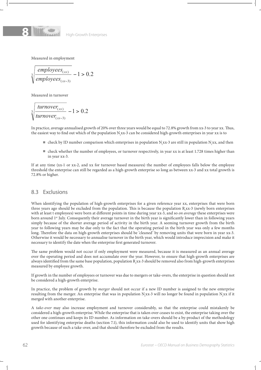**8**

High-Growth Enterprises

Measured in employment

$$
\sqrt[3]{\frac{empoyes_{(xx)}}{empoyes_{(xx-3)}}}-1>0.2
$$

Measured in turnover

$$
\sqrt[3]{\frac{turnover_{(xx)}}{turnover_{(xx-3)}}} - 1 > 0.2
$$

In practice, average annualised growth of 20% over three years would be equal to 72.8% growth from xx-3 to year xx. Thus, the easiest way to find out which of the population N<sub>t</sub>xx-3 can be considered high-growth enterprises in year xx is to

- $\blacksquare$  check by ID number comparison which enterprises in population Nˌxx-3 are still in population Nˌxx, and then
- check whether the number of employees, or turnover respectively, in year xx is at least 1.728 times higher than in year xx-3.

If at any time (xx-1 or xx-2, and xx for turnover based measures) the number of employees falls below the employee threshold the enterprise can still be regarded as a high-growth enterprise so long as between xx-3 and xx total growth is 72.8% or higher.

#### 8.3 Exclusions

When identifying the population of high-growth enterprises for a given reference year xx, enterprises that were born three years ago should be excluded from the population. This is because the population  $R_1xx$ -3 (newly born enterprises with at least t employees) were born at different points in time during year xx-3, and so on average these enterprises were born around 1<sup>st</sup> July. Consequently their average turnover in the birth year is significantly lower than in following years simply because of the shorter average period of activity in the birth year. A seeming turnover growth from the birth year to following years may be due only to the fact that the operating period in the birth year was only a few months long. Therefore the data on high-growth enterprises should be 'cleaned' by removing units that were born in year xx-3. Otherwise it would be necessary to annualise turnover in the birth year, which would introduce imprecision and make it necessary to identify the date when the enterprise first generated turnover.

The same problem would not occur if only employment were measured, because it is measured as an annual average over the operating period and does not accumulate over the year. However, to ensure that high-growth enterprises are always identified from the same base population, population  $R_{\rm t}$ xx-3 should be removed also from high-growth enterprises measured by employee growth.

If growth in the number of employees or turnover was due to mergers or take-overs, the enterprise in question should not be considered a high-growth enterprise.

In practice, the problem of growth by *merger* should not occur if a new ID number is assigned to the new enterprise resulting from the merger. An enterprise that was in population Nˌxx-3 will no longer be found in population Nˌxx if it merged with another enterprise.

A take-over may also increase employment and turnover considerably, so that the enterprise could mistakenly be considered a high-growth enterprise. While the enterprise that is taken over ceases to exist, the enterprise taking over the other one continues and keeps its ID number. As information on take-overs should be a by-product of the methodology used for identifying enterprise deaths (section 7.1), this information could also be used to identify units that show high growth because of such a take-over, and that should therefore be excluded from the results.